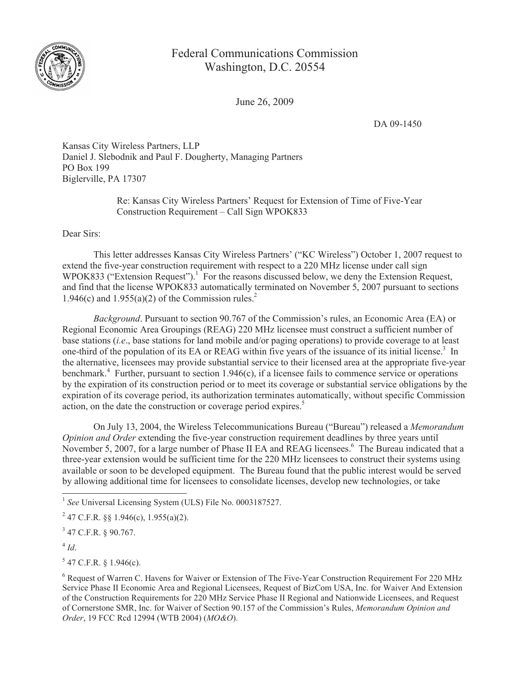

## Federal Communications Commission Washington, D.C. 20554

June 26, 2009

DA 09-1450

Kansas City Wireless Partners, LLP Daniel J. Slebodnik and Paul F. Dougherty, Managing Partners PO Box 199 Biglerville, PA 17307

> Re: Kansas City Wireless Partners' Request for Extension of Time of Five-Year Construction Requirement – Call Sign WPOK833

Dear Sirs:

This letter addresses Kansas City Wireless Partners' ("KC Wireless") October 1, 2007 request to extend the five-year construction requirement with respect to a 220 MHz license under call sign WPOK833 ("Extension Request").<sup>1</sup> For the reasons discussed below, we deny the Extension Request, and find that the license WPOK833 automatically terminated on November 5, 2007 pursuant to sections 1.946(c) and 1.955(a)(2) of the Commission rules.<sup>2</sup>

*Background*. Pursuant to section 90.767 of the Commission's rules, an Economic Area (EA) or Regional Economic Area Groupings (REAG) 220 MHz licensee must construct a sufficient number of base stations (*i.e*., base stations for land mobile and/or paging operations) to provide coverage to at least one-third of the population of its EA or REAG within five years of the issuance of its initial license.<sup>3</sup> In the alternative, licensees may provide substantial service to their licensed area at the appropriate five-year benchmark.<sup>4</sup> Further, pursuant to section 1.946(c), if a licensee fails to commence service or operations by the expiration of its construction period or to meet its coverage or substantial service obligations by the expiration of its coverage period, its authorization terminates automatically, without specific Commission action, on the date the construction or coverage period expires.<sup>5</sup>

On July 13, 2004, the Wireless Telecommunications Bureau ("Bureau") released a *Memorandum Opinion and Order* extending the five-year construction requirement deadlines by three years until November 5, 2007, for a large number of Phase II EA and REAG licensees.<sup>6</sup> The Bureau indicated that a three-year extension would be sufficient time for the 220 MHz licensees to construct their systems using available or soon to be developed equipment. The Bureau found that the public interest would be served by allowing additional time for licensees to consolidate licenses, develop new technologies, or take

 $5$  47 C.F.R. § 1.946(c).

<sup>&</sup>lt;sup>1</sup> See Universal Licensing System (ULS) File No. 0003187527.

<sup>&</sup>lt;sup>2</sup> 47 C.F.R. §§ 1.946(c), 1.955(a)(2).

 $3$  47 C.F.R. § 90.767.

<sup>4</sup> *Id*.

<sup>6</sup> Request of Warren C. Havens for Waiver or Extension of The Five-Year Construction Requirement For 220 MHz Service Phase II Economic Area and Regional Licensees, Request of BizCom USA, Inc. for Waiver And Extension of the Construction Requirements for 220 MHz Service Phase II Regional and Nationwide Licensees, and Request of Cornerstone SMR, Inc. for Waiver of Section 90.157 of the Commission's Rules, *Memorandum Opinion and Order*, 19 FCC Rcd 12994 (WTB 2004) (*MO&O*).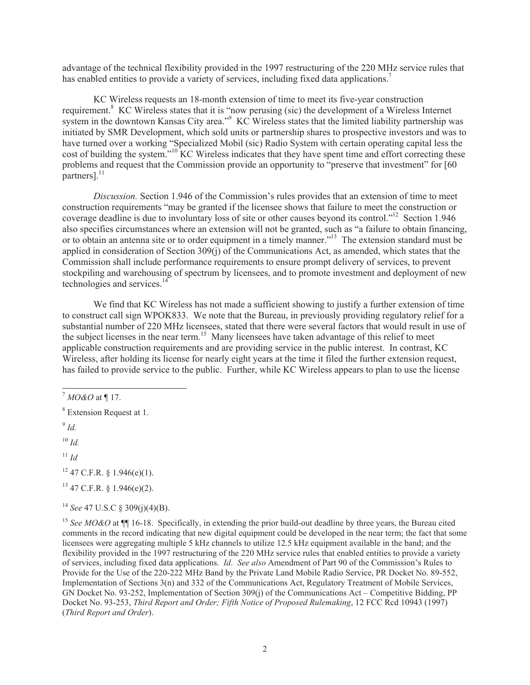advantage of the technical flexibility provided in the 1997 restructuring of the 220 MHz service rules that has enabled entities to provide a variety of services, including fixed data applications.<sup>7</sup>

KC Wireless requests an 18-month extension of time to meet its five-year construction requirement.<sup>8</sup> KC Wireless states that it is "now perusing (sic) the development of a Wireless Internet system in the downtown Kansas City area."<sup>9</sup> KC Wireless states that the limited liability partnership was initiated by SMR Development, which sold units or partnership shares to prospective investors and was to have turned over a working "Specialized Mobil (sic) Radio System with certain operating capital less the cost of building the system."<sup>10</sup> KC Wireless indicates that they have spent time and effort correcting these problems and request that the Commission provide an opportunity to "preserve that investment" for [60  $partners$ ].<sup>11</sup>

*Discussion.* Section 1.946 of the Commission's rules provides that an extension of time to meet construction requirements "may be granted if the licensee shows that failure to meet the construction or coverage deadline is due to involuntary loss of site or other causes beyond its control."<sup>12</sup> Section 1.946 also specifies circumstances where an extension will not be granted, such as "a failure to obtain financing, or to obtain an antenna site or to order equipment in a timely manner."<sup>13</sup> The extension standard must be applied in consideration of Section 309(j) of the Communications Act, as amended, which states that the Commission shall include performance requirements to ensure prompt delivery of services, to prevent stockpiling and warehousing of spectrum by licensees, and to promote investment and deployment of new technologies and services.<sup>14</sup>

We find that KC Wireless has not made a sufficient showing to justify a further extension of time to construct call sign WPOK833. We note that the Bureau, in previously providing regulatory relief for a substantial number of 220 MHz licensees, stated that there were several factors that would result in use of the subject licenses in the near term.<sup>15</sup> Many licensees have taken advantage of this relief to meet applicable construction requirements and are providing service in the public interest. In contrast, KC Wireless, after holding its license for nearly eight years at the time it filed the further extension request, has failed to provide service to the public. Further, while KC Wireless appears to plan to use the license

 $10 \,$ *Id.* 

 $11$  *Id* 

 $12$  47 C.F.R. § 1.946(e)(1).

 $13$  47 C.F.R. § 1.946(e)(2).

<sup>14</sup> *See* 47 U.S.C § 309(j)(4)(B).

<sup>7</sup> *MO&O* at ¶ 17.

<sup>8</sup> Extension Request at 1.

<sup>9</sup> *Id.* 

<sup>&</sup>lt;sup>15</sup> *See MO&O* at  $\P$  16-18. Specifically, in extending the prior build-out deadline by three years, the Bureau cited comments in the record indicating that new digital equipment could be developed in the near term; the fact that some licensees were aggregating multiple 5 kHz channels to utilize 12.5 kHz equipment available in the band; and the flexibility provided in the 1997 restructuring of the 220 MHz service rules that enabled entities to provide a variety of services, including fixed data applications. *Id*. *See also* Amendment of Part 90 of the Commission's Rules to Provide for the Use of the 220-222 MHz Band by the Private Land Mobile Radio Service, PR Docket No. 89-552, Implementation of Sections 3(n) and 332 of the Communications Act, Regulatory Treatment of Mobile Services, GN Docket No. 93-252, Implementation of Section 309(j) of the Communications Act – Competitive Bidding, PP Docket No. 93-253, *Third Report and Order; Fifth Notice of Proposed Rulemaking*, 12 FCC Rcd 10943 (1997) (*Third Report and Order*).